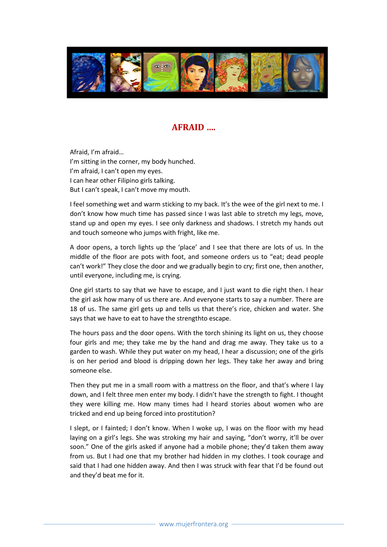

## AFRAID ….

Afraid, I'm afraid… I'm sitting in the corner, my body hunched. I'm afraid, I can't open my eyes. I can hear other Filipino girls talking. But I can't speak, I can't move my mouth.

I feel something wet and warm sticking to my back. It's the wee of the girl next to me. I don't know how much time has passed since I was last able to stretch my legs, move, stand up and open my eyes. I see only darkness and shadows. I stretch my hands out and touch someone who jumps with fright, like me.

A door opens, a torch lights up the 'place' and I see that there are lots of us. In the middle of the floor are pots with foot, and someone orders us to "eat; dead people can't work!" They close the door and we gradually begin to cry; first one, then another, until everyone, including me, is crying.

One girl starts to say that we have to escape, and I just want to die right then. I hear the girl ask how many of us there are. And everyone starts to say a number. There are 18 of us. The same girl gets up and tells us that there's rice, chicken and water. She says that we have to eat to have the strengthto escape.

The hours pass and the door opens. With the torch shining its light on us, they choose four girls and me; they take me by the hand and drag me away. They take us to a garden to wash. While they put water on my head, I hear a discussion; one of the girls is on her period and blood is dripping down her legs. They take her away and bring someone else.

Then they put me in a small room with a mattress on the floor, and that's where I lay down, and I felt three men enter my body. I didn't have the strength to fight. I thought they were killing me. How many times had I heard stories about women who are tricked and end up being forced into prostitution?

I slept, or I fainted; I don't know. When I woke up, I was on the floor with my head laying on a girl's legs. She was stroking my hair and saying, "don't worry, it'll be over soon." One of the girls asked if anyone had a mobile phone; they'd taken them away from us. But I had one that my brother had hidden in my clothes. I took courage and said that I had one hidden away. And then I was struck with fear that I'd be found out and they'd beat me for it.